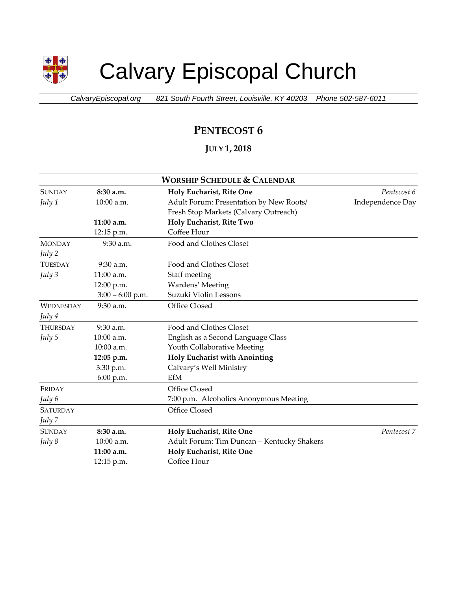

# Calvary Episcopal Church

*CalvaryEpiscopal.org 821 South Fourth Street, Louisville, KY 40203 Phone 502-587-6011*

## **PENTECOST 6**

### **JULY 1, 2018**

| <b>WORSHIP SCHEDULE &amp; CALENDAR</b> |                    |                                            |                  |  |  |
|----------------------------------------|--------------------|--------------------------------------------|------------------|--|--|
| <b>SUNDAY</b>                          | 8:30 a.m.          | Holy Eucharist, Rite One                   | Pentecost 6      |  |  |
| July 1                                 | 10:00 a.m.         | Adult Forum: Presentation by New Roots/    | Independence Day |  |  |
|                                        |                    | Fresh Stop Markets (Calvary Outreach)      |                  |  |  |
|                                        | 11:00 a.m.         | Holy Eucharist, Rite Two                   |                  |  |  |
|                                        | 12:15 p.m.         | Coffee Hour                                |                  |  |  |
| <b>MONDAY</b>                          | 9:30 a.m.          | Food and Clothes Closet                    |                  |  |  |
| July 2                                 |                    |                                            |                  |  |  |
| <b>TUESDAY</b>                         | $9:30$ a.m.        | Food and Clothes Closet                    |                  |  |  |
| July $3$                               | 11:00 a.m.         | Staff meeting                              |                  |  |  |
|                                        | 12:00 p.m.         | Wardens' Meeting                           |                  |  |  |
|                                        | $3:00 - 6:00$ p.m. | Suzuki Violin Lessons                      |                  |  |  |
| <b>WEDNESDAY</b>                       | 9:30 a.m.          | Office Closed                              |                  |  |  |
| July 4                                 |                    |                                            |                  |  |  |
| <b>THURSDAY</b>                        | $9:30$ a.m.        | Food and Clothes Closet                    |                  |  |  |
| July 5                                 | 10:00 a.m.         | English as a Second Language Class         |                  |  |  |
|                                        | 10:00 a.m.         | Youth Collaborative Meeting                |                  |  |  |
|                                        | 12:05 p.m.         | Holy Eucharist with Anointing              |                  |  |  |
|                                        | 3:30 p.m.          | Calvary's Well Ministry                    |                  |  |  |
|                                        | 6:00 p.m.          | EfM                                        |                  |  |  |
| FRIDAY                                 |                    | Office Closed                              |                  |  |  |
| July 6                                 |                    | 7:00 p.m. Alcoholics Anonymous Meeting     |                  |  |  |
| <b>SATURDAY</b>                        |                    | Office Closed                              |                  |  |  |
| July 7                                 |                    |                                            |                  |  |  |
| <b>SUNDAY</b>                          | 8:30 a.m.          | Holy Eucharist, Rite One                   | Pentecost 7      |  |  |
| July 8                                 | 10:00 a.m.         | Adult Forum: Tim Duncan - Kentucky Shakers |                  |  |  |
|                                        | 11:00 a.m.         | Holy Eucharist, Rite One                   |                  |  |  |
|                                        | 12:15 p.m.         | Coffee Hour                                |                  |  |  |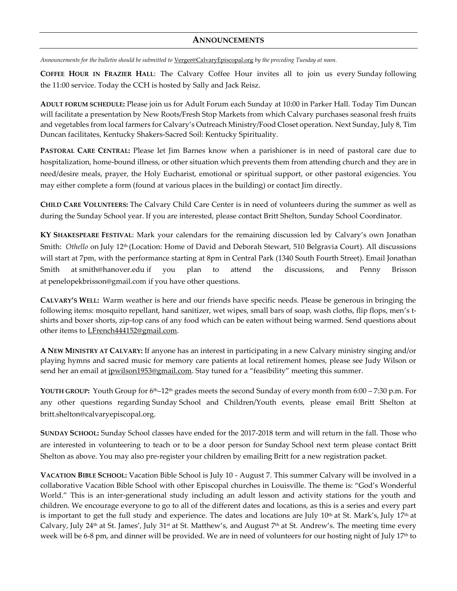#### **ANNOUNCEMENTS**

*Announcements for the bulletin should be submitted to* [Verger@CalvaryEpiscopal.org](mailto:Verger@CalvaryEpiscopal.org) *by the preceding Tuesday at noon.* 

**COFFEE HOUR IN FRAZIER HALL**: The Calvary Coffee Hour invites all to join us every Sunday following the 11:00 service. Today the CCH is hosted by Sally and Jack Reisz.

**ADULT FORUM SCHEDULE:** Please join us for Adult Forum each Sunday at 10:00 in Parker Hall. Today Tim Duncan will facilitate a presentation by New Roots/Fresh Stop Markets from which Calvary purchases seasonal fresh fruits and vegetables from local farmers for Calvary's Outreach Ministry/Food Closet operation. Next Sunday, July 8, Tim Duncan facilitates, Kentucky Shakers-Sacred Soil: Kentucky Spirituality.

**PASTORAL CARE CENTRAL:** Please let Jim Barnes know when a parishioner is in need of pastoral care due to hospitalization, home-bound illness, or other situation which prevents them from attending church and they are in need/desire meals, prayer, the Holy Eucharist, emotional or spiritual support, or other pastoral exigencies. You may either complete a form (found at various places in the building) or contact Jim directly.

**CHILD CARE VOLUNTEERS:** The Calvary Child Care Center is in need of volunteers during the summer as well as during the Sunday School year. If you are interested, please contact Britt Shelton, Sunday School Coordinator.

**KY SHAKESPEARE FESTIVAL**: Mark your calendars for the remaining discussion led by Calvary's own Jonathan Smith: *Othello* on July 12th (Location: Home of David and Deborah Stewart, 510 Belgravia Court). All discussions will start at 7pm, with the performance starting at 8pm in Central Park (1340 South Fourth Street). Email Jonathan Smith at [smith@hanover.edu](mailto:smith@hanover.edu) if you plan to attend the discussions, and Penny Brisson at [penelopekbrisson@gmail.com](mailto:penelopekbrisson@gmail.com) if you have other questions.

**CALVARY'S WELL:** Warm weather is here and our friends have specific needs. Please be generous in bringing the following items: mosquito repellant, hand sanitizer, wet wipes, small bars of soap, wash cloths, flip flops, men's tshirts and boxer shorts, zip-top cans of any food which can be eaten without being warmed. Send questions about other items to [LFrench444152@gmail.com.](mailto:LFrench444152@gmail.com)

**A NEW MINISTRY AT CALVARY:** If anyone has an interest in participating in a new Calvary ministry singing and/or playing hymns and sacred music for memory care patients at local retirement homes, please see Judy Wilson or send her an email at [jpwilson1953@gmail.com](mailto:jpwilson1953@gmail.com). Stay tuned for a "feasibility" meeting this summer.

**YOUTH GROUP:** Youth Group for 6th–12th grades meets the second Sunday of every month from 6:00 – 7:30 p.m. For any other questions regarding Sunday School and Children/Youth events, please email Britt Shelton at [britt.shelton@calvaryepiscopal.org.](mailto:britt.shelton@calvaryepiscopal.org)

**SUNDAY SCHOOL:** Sunday School classes have ended for the 2017-2018 term and will return in the fall. Those who are interested in volunteering to teach or to be a door person for Sunday School next term please contact Britt Shelton as above. You may also pre-register your children by emailing Britt for a new registration packet.

**VACATION BIBLE SCHOOL:** Vacation Bible School is July 10 - August 7. This summer Calvary will be involved in a collaborative Vacation Bible School with other Episcopal churches in Louisville. The theme is: "God's Wonderful World." This is an inter-generational study including an adult lesson and activity stations for the youth and children. We encourage everyone to go to all of the different dates and locations, as this is a series and every part is important to get the full study and experience. The dates and locations are July  $10<sup>th</sup>$  at St. Mark's, July  $17<sup>th</sup>$  at Calvary, July 24<sup>th</sup> at St. James', July 31<sup>st</sup> at St. Matthew's, and August 7<sup>th</sup> at St. Andrew's. The meeting time every week will be 6-8 pm, and dinner will be provided. We are in need of volunteers for our hosting night of July 17<sup>th</sup> to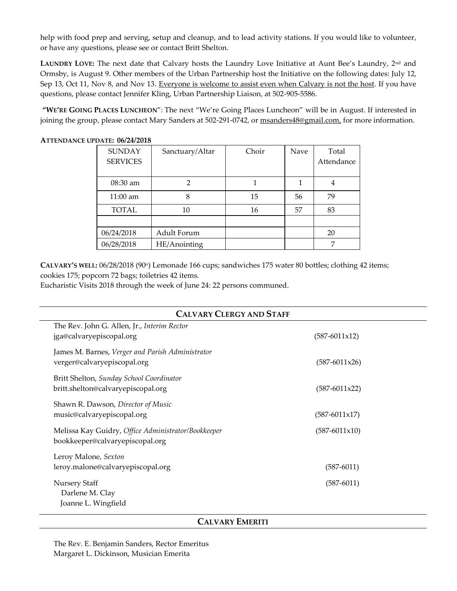help with food prep and serving, setup and cleanup, and to lead activity stations. If you would like to volunteer, or have any questions, please see or contact Britt Shelton.

**LAUNDRY LOVE:** The next date that Calvary hosts the Laundry Love Initiative at Aunt Bee's Laundry, 2nd and Ormsby, is August 9. Other members of the Urban Partnership host the Initiative on the following dates: July 12, Sep 13, Oct 11, Nov 8, and Nov 13. Everyone is welcome to assist even when Calvary is not the host. If you have questions, please contact Jennifer Kling, Urban Partnership Liaison, at 502-905-5586.

**"WE'RE GOING PLACES LUNCHEON**": The next "We're Going Places Luncheon" will be in August. If interested in joining the group, please contact Mary Sanders at 502-291-0742, or [msanders48@gmail.com,](mailto:msanders48@gmail.com) for more information.

| <b>SUNDAY</b>      | Sanctuary/Altar | Choir | Nave | Total      |
|--------------------|-----------------|-------|------|------------|
| <b>SERVICES</b>    |                 |       |      | Attendance |
|                    |                 |       |      |            |
| 08:30 am           | 2               |       |      | 4          |
| $11:00 \text{ am}$ | 8               | 15    | 56   | 79         |
| <b>TOTAL</b>       | 10              | 16    | 57   | 83         |
|                    |                 |       |      |            |
| 06/24/2018         | Adult Forum     |       |      | 20         |
| 06/28/2018         | HE/Anointing    |       |      | 7          |

**ATTENDANCE UPDATE: 06/24/2018** 

**CALVARY'S WELL<sup></sup>:** 06/28/2018 (90<sup>°</sup>) Lemonade 166 cups; sandwiches 175 water 80 bottles; clothing 42 items; cookies 175; popcorn 72 bags; toiletries 42 items.

Eucharistic Visits 2018 through the week of June 24: 22 persons communed.

| <b>CALVARY CLERGY AND STAFF</b>                                                        |                 |  |  |  |
|----------------------------------------------------------------------------------------|-----------------|--|--|--|
| The Rev. John G. Allen, Jr., Interim Rector<br>jga@calvaryepiscopal.org                | $(587-6011x12)$ |  |  |  |
| James M. Barnes, Verger and Parish Administrator<br>verger@calvaryepiscopal.org        | $(587-6011x26)$ |  |  |  |
| Britt Shelton, Sunday School Coordinator<br>britt.shelton@calvaryepiscopal.org         | $(587-6011x22)$ |  |  |  |
| Shawn R. Dawson, Director of Music<br>music@calvaryepiscopal.org                       | $(587-6011x17)$ |  |  |  |
| Melissa Kay Guidry, Office Administrator/Bookkeeper<br>bookkeeper@calvaryepiscopal.org | $(587-6011x10)$ |  |  |  |
| Leroy Malone, Sexton<br>leroy.malone@calvaryepiscopal.org                              | $(587 - 6011)$  |  |  |  |
| <b>Nursery Staff</b><br>Darlene M. Clay<br>Joanne L. Wingfield                         | $(587 - 6011)$  |  |  |  |

#### **CALVARY EMERITI**

The Rev. E. Benjamin Sanders, Rector Emeritus Margaret L. Dickinson, Musician Emerita